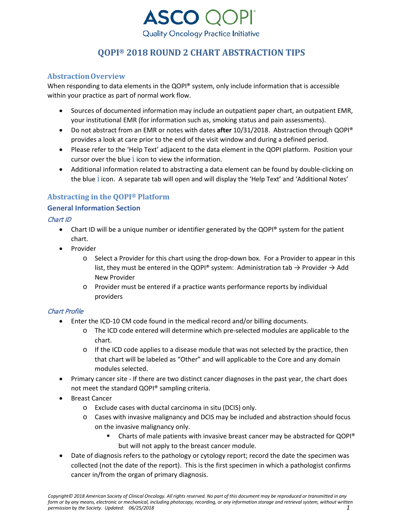

# **AbstractionOverview**

When responding to data elements in the QOPI® system, only include information that is accessible within your practice as part of normal work flow.

- Sources of documented information may include an outpatient paper chart, an outpatient EMR, your institutional EMR (for information such as, smoking status and pain assessments).
- Do not abstract from an EMR or notes with dates **after** 10/31/2018. Abstraction through QOPI® provides a look at care prior to the end of the visit window and during a defined period.
- Please refer to the 'Help Text' adjacent to the data element in the QOPI platform. Position your cursor over the blue *i* icon to view the information.
- Additional information related to abstracting a data element can be found by double-clicking on the blue *i* icon. A separate tab will open and will display the 'Help Text' and 'Additional Notes'

# **Abstracting in the QOPI® Platform**

## **General Information Section**

## Chart ID

- Chart ID will be a unique number or identifier generated by the QOPI® system for the patient chart.
- Provider
	- o Select a Provider for this chart using the drop-down box. For a Provider to appear in this list, they must be entered in the QOPI® system: Administration tab  $\rightarrow$  Provider  $\rightarrow$  Add New Provider
	- o Provider must be entered if a practice wants performance reports by individual providers

# Chart Profile

- Enter the ICD-10 CM code found in the medical record and/or billing documents.
	- o The ICD code entered will determine which pre-selected modules are applicable to the chart.
	- $\circ$  If the ICD code applies to a disease module that was not selected by the practice, then that chart will be labeled as "Other" and will applicable to the Core and any domain modules selected.
- Primary cancer site If there are two distinct cancer diagnoses in the past year, the chart does not meet the standard QOPI® sampling criteria.
- **Breast Cancer** 
	- o Exclude cases with ductal carcinoma in situ (DCIS) only.
	- o Cases with invasive malignancy and DCIS may be included and abstraction should focus on the invasive malignancy only.
		- Charts of male patients with invasive breast cancer may be abstracted for QOPI® but will not apply to the breast cancer module.
- Date of diagnosis refers to the pathology or cytology report; record the date the specimen was collected (not the date of the report). This is the first specimen in which a pathologist confirms cancer in/from the organ of primary diagnosis.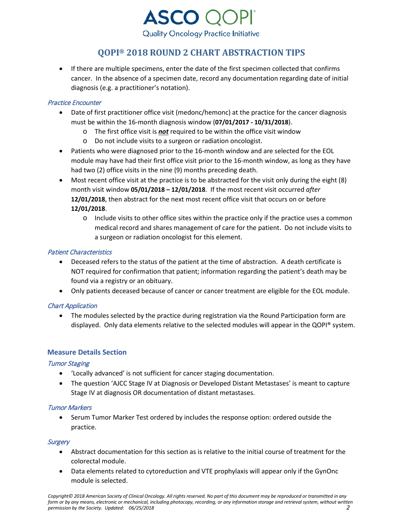

• If there are multiple specimens, enter the date of the first specimen collected that confirms cancer. In the absence of a specimen date, record any documentation regarding date of initial diagnosis (e.g. a practitioner's notation).

## Practice Encounter

- Date of first practitioner office visit (medonc/hemonc) at the practice for the cancer diagnosis must be within the 16-month diagnosis window (**07/01/2017 - 10/31/2018**).
	- o The first office visit is *not* required to be within the office visit window
	- o Do not include visits to a surgeon or radiation oncologist.
- Patients who were diagnosed prior to the 16-month window and are selected for the EOL module may have had their first office visit prior to the 16-month window, as long as they have had two (2) office visits in the nine (9) months preceding death.
- Most recent office visit at the practice is to be abstracted for the visit only during the eight (8) month visit window **05/01/2018 – 12/01/2018**. If the most recent visit occurred *after* **12/01/2018**, then abstract for the next most recent office visit that occurs on or before **12/01/2018**.
	- $\circ$  Include visits to other office sites within the practice only if the practice uses a common medical record and shares management of care for the patient. Do not include visits to a surgeon or radiation oncologist for this element.

# Patient Characteristics

- Deceased refers to the status of the patient at the time of abstraction. A death certificate is NOT required for confirmation that patient; information regarding the patient's death may be found via a registry or an obituary.
- Only patients deceased because of cancer or cancer treatment are eligible for the EOL module.

# Chart Application

• The modules selected by the practice during registration via the Round Participation form are displayed. Only data elements relative to the selected modules will appear in the QOPI® system.

# **Measure Details Section**

#### Tumor Staging

- 'Locally advanced' is not sufficient for cancer staging documentation.
- The question 'AJCC Stage IV at Diagnosis or Developed Distant Metastases' is meant to capture Stage IV at diagnosis OR documentation of distant metastases.

#### Tumor Markers

• Serum Tumor Marker Test ordered by includes the response option: ordered outside the practice.

#### **Surgery**

- Abstract documentation for this section as is relative to the initial course of treatment for the colorectal module.
- Data elements related to cytoreduction and VTE prophylaxis will appear only if the GynOnc module is selected.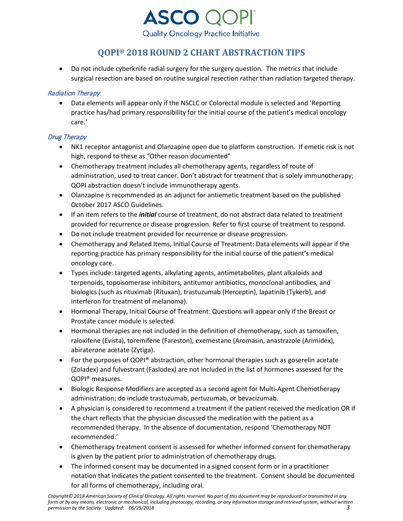

• Do not include cyberknife radial surgery for the surgery question. The metrics that include surgical resection are based on routine surgical resection rather than radiation targeted therapy.

# Radiation Therapy

• Data elements will appear only if the NSCLC or Colorectal module is selected and 'Reporting practice has/had primary responsibility for the initial course of the patient's medical oncology care.'

# Drug Therapy

- NK1 receptor antagonist and Olanzapine open due to platform construction. If emetic risk is not high, respond to these as "Other reason documented"
- Chemotherapy treatment includes all chemotherapy agents, regardless of route of administration, used to treat cancer. Don't abstract for treatment that is solely immunotherapy; QOPI abstraction doesn't include immunotherapy agents.
- Olanzapine is recommended as an adjunct for antiemetic treatment based on the published October 2017 ASCO Guidelines.
- If an item refers to the *initial* course of treatment, do not abstract data related to treatment provided for recurrence or disease progression. Refer to first course of treatment to respond.
- Do not include treatment provided for recurrence or disease progression.
- Chemotherapy and Related Items, Initial Course of Treatment: Data elements will appear if the reporting practice has primary responsibility for the initial course of the patient's medical oncology care.
- Types include: targeted agents, alkylating agents, antimetabolites, plant alkaloids and terpenoids, topoisomerase inhibitors, antitumor antibiotics, monoclonal antibodies, and biologics (such as rituximab (Rituxan), trastuzumab (Herceptin), lapatinib (Tykerb), and interferon for treatment of melanoma).
- Hormonal Therapy, Initial Course of Treatment: Questions will appear only if the Breast or Prostate cancer module is selected.
- Hormonal therapies are not included in the definition of chemotherapy, such as tamoxifen, raloxifene (Evista), toremifene (Fareston), exemestane (Aromasin, anastrazole (Arimidex), abiraterone acetate (Zytiga).
- For the purposes of QOPI® abstraction, other hormonal therapies such as goserelin acetate (Zoladex) and fulvestrant (Faslodex) are not included in the list of hormones assessed for the QOPI® measures.
- Biologic Response Modifiers are accepted as a second agent for Multi-Agent Chemotherapy administration; do include trastuzumab, pertuzumab, or bevacizumab.
- A physician is considered to recommend a treatment if the patient received the medication OR if the chart reflects that the physician discussed the medication with the patient as a recommended therapy. In the absence of documentation, respond 'Chemotherapy NOT recommended.'
- Chemotherapy treatment consent is assessed for whether informed consent for chemotherapy is given by the patient prior to administration of chemotherapy drugs.
- The informed consent may be documented in a signed consent form or in a practitioner notation that indicates the patient consented to the treatment. Consent should be documented for all forms of chemotherapy, including oral.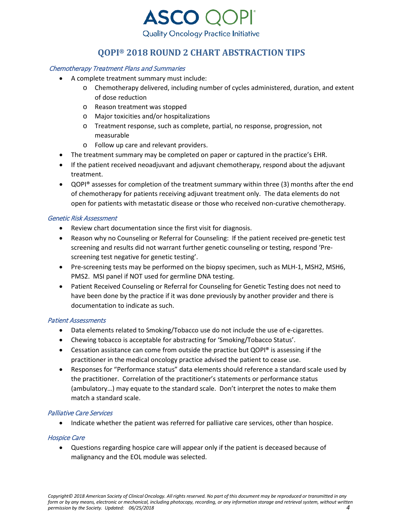

## Chemotherapy Treatment Plans and Summaries

- A complete treatment summary must include:
	- o Chemotherapy delivered, including number of cycles administered, duration, and extent of dose reduction
	- o Reason treatment was stopped
	- o Major toxicities and/or hospitalizations
	- o Treatment response, such as complete, partial, no response, progression, not measurable
	- o Follow up care and relevant providers.
- The treatment summary may be completed on paper or captured in the practice's EHR.
- If the patient received neoadjuvant and adjuvant chemotherapy, respond about the adjuvant treatment.
- QOPI® assesses for completion of the treatment summary within three (3) months after the end of chemotherapy for patients receiving adjuvant treatment only. The data elements do not open for patients with metastatic disease or those who received non-curative chemotherapy.

#### Genetic Risk Assessment

- Review chart documentation since the first visit for diagnosis.
- Reason why no Counseling or Referral for Counseling: If the patient received pre-genetic test screening and results did not warrant further genetic counseling or testing, respond 'Prescreening test negative for genetic testing'.
- Pre-screening tests may be performed on the biopsy specimen, such as MLH-1, MSH2, MSH6, PMS2. MSI panel if NOT used for germline DNA testing.
- Patient Received Counseling or Referral for Counseling for Genetic Testing does not need to have been done by the practice if it was done previously by another provider and there is documentation to indicate as such.

#### Patient Assessments

- Data elements related to Smoking/Tobacco use do not include the use of e-cigarettes.
- Chewing tobacco is acceptable for abstracting for 'Smoking/Tobacco Status'.
- Cessation assistance can come from outside the practice but QOPI® is assessing if the practitioner in the medical oncology practice advised the patient to cease use.
- Responses for "Performance status" data elements should reference a standard scale used by the practitioner. Correlation of the practitioner's statements or performance status (ambulatory…) may equate to the standard scale. Don't interpret the notes to make them match a standard scale.

#### Palliative Care Services

• Indicate whether the patient was referred for palliative care services, other than hospice.

#### Hospice Care

• Questions regarding hospice care will appear only if the patient is deceased because of malignancy and the EOL module was selected.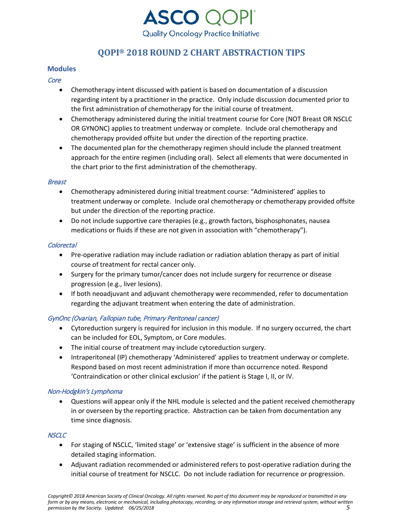

## **Modules**

## **Core**

- Chemotherapy intent discussed with patient is based on documentation of a discussion regarding intent by a practitioner in the practice. Only include discussion documented prior to the first administration of chemotherapy for the initial course of treatment.
- Chemotherapy administered during the initial treatment course for Core (NOT Breast OR NSCLC OR GYNONC) applies to treatment underway or complete. Include oral chemotherapy and chemotherapy provided offsite but under the direction of the reporting practice.
- The documented plan for the chemotherapy regimen should include the planned treatment approach for the entire regimen (including oral). Select all elements that were documented in the chart prior to the first administration of the chemotherapy.

#### Breast

- Chemotherapy administered during initial treatment course: "Administered' applies to treatment underway or complete. Include oral chemotherapy or chemotherapy provided offsite but under the direction of the reporting practice.
- Do not include supportive care therapies (e.g., growth factors, bisphosphonates, nausea medications or fluids if these are not given in association with "chemotherapy").

#### Colorectal

- Pre-operative radiation may include radiation or radiation ablation therapy as part of initial course of treatment for rectal cancer only.
- Surgery for the primary tumor/cancer does not include surgery for recurrence or disease progression (e.g., liver lesions).
- If both neoadjuvant and adjuvant chemotherapy were recommended, refer to documentation regarding the adjuvant treatment when entering the date of administration.

#### GynOnc (Ovarian, Fallopian tube, Primary Peritoneal cancer)

- Cytoreduction surgery is required for inclusion in this module. If no surgery occurred, the chart can be included for EOL, Symptom, or Core modules.
- The initial course of treatment may include cytoreduction surgery.
- Intraperitoneal (IP) chemotherapy 'Administered' applies to treatment underway or complete. Respond based on most recent administration if more than occurrence noted. Respond 'Contraindication or other clinical exclusion' if the patient is Stage I, II, or IV.

#### Non-Hodgkin's Lymphoma

• Questions will appear only if the NHL module is selected and the patient received chemotherapy in or overseen by the reporting practice. Abstraction can be taken from documentation any time since diagnosis.

#### **NSCLC**

- For staging of NSCLC, 'limited stage' or 'extensive stage' is sufficient in the absence of more detailed staging information.
- Adjuvant radiation recommended or administered refers to post-operative radiation during the initial course of treatment for NSCLC. Do not include radiation for recurrence or progression.